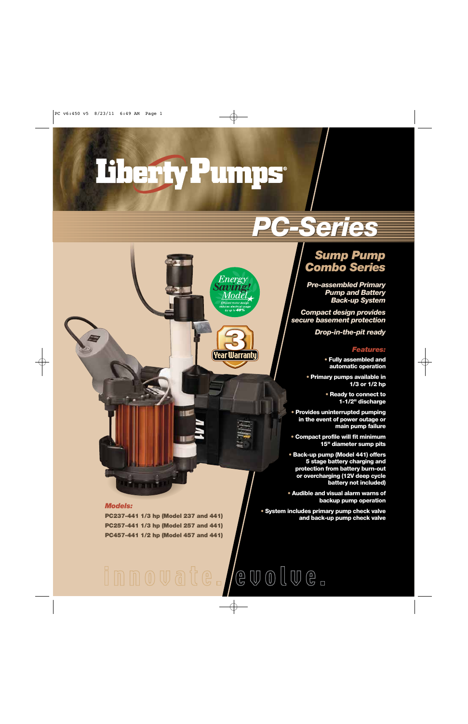# Tiherfy Pumps\*

Energy

Mode

 $10 - 40$ 

((Year Warranty

### *PC-Series PC-Series*

### *Sump Pump Combo Series*

*Pre-assembled Primary Pump and Battery Back-up System*

*Compact design provides secure basement protection*

*Drop-in-the-pit ready*

### *Features:*

**• Fully assembled and automatic operation** 

**• Primary pumps available in 1/3 or 1/2 hp**

> **• Ready to connect to 1-1/2" discharge**

**• Provides uninterrupted pumping in the event of power outage or main pump failure**

**• Compact profile will fit minimum 15" diameter sump pits**

**• Back-up pump (Model 441) offers 5 stage battery charging and protection from battery burn-out or overcharging (12V deep cycle battery not included)**

**• Audible and visual alarm warns of backup pump operation**

**• System includes primary pump check valve and back-up pump check valve**

#### *Models:*

**PC237-441 1/3 hp (Model 237 and 441) PC257-441 1/3 hp (Model 257 and 441) PC457-441 1/2 hp (Model 457 and 441)**

## innovate./evolve.